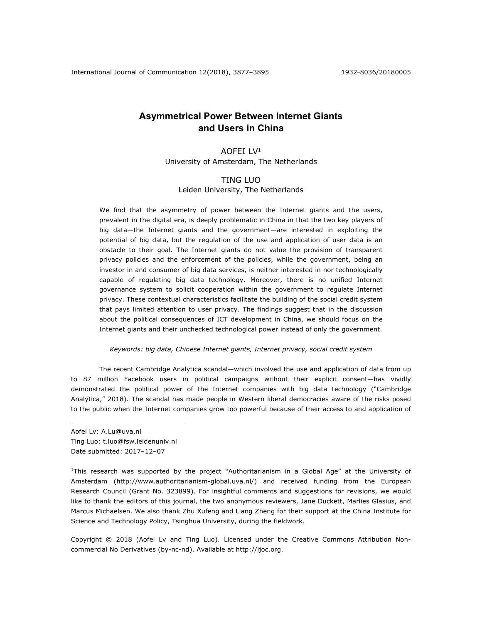# **Asymmetrical Power Between Internet Giants and Users in China**

# AOFEI LV1

University of Amsterdam, The Netherlands

# TING LUO Leiden University, The Netherlands

We find that the asymmetry of power between the Internet giants and the users, prevalent in the digital era, is deeply problematic in China in that the two key players of big data—the Internet giants and the government—are interested in exploiting the potential of big data, but the regulation of the use and application of user data is an obstacle to their goal. The Internet giants do not value the provision of transparent privacy policies and the enforcement of the policies, while the government, being an investor in and consumer of big data services, is neither interested in nor technologically capable of regulating big data technology. Moreover, there is no unified Internet governance system to solicit cooperation within the government to regulate Internet privacy. These contextual characteristics facilitate the building of the social credit system that pays limited attention to user privacy. The findings suggest that in the discussion about the political consequences of ICT development in China, we should focus on the Internet giants and their unchecked technological power instead of only the government.

*Keywords: big data, Chinese Internet giants, Internet privacy, social credit system*

The recent Cambridge Analytica scandal—which involved the use and application of data from up to 87 million Facebook users in political campaigns without their explicit consent—has vividly demonstrated the political power of the Internet companies with big data technology ("Cambridge Analytica," 2018). The scandal has made people in Western liberal democracies aware of the risks posed to the public when the Internet companies grow too powerful because of their access to and application of

Aofei Lv: A.Lu@uva.nl Ting Luo: t.luo@fsw.leidenuniv.nl Date submitted: 2017–12–07

<u>.</u>

<sup>1</sup>This research was supported by the project "Authoritarianism in a Global Age" at the University of Amsterdam (http://www.authoritarianism-global.uva.nl/) and received funding from the European Research Council (Grant No. 323899). For insightful comments and suggestions for revisions, we would like to thank the editors of this journal, the two anonymous reviewers, Jane Duckett, Marlies Glasius, and Marcus Michaelsen. We also thank Zhu Xufeng and Liang Zheng for their support at the China Institute for Science and Technology Policy, Tsinghua University, during the fieldwork.

Copyright © 2018 (Aofei Lv and Ting Luo). Licensed under the Creative Commons Attribution Noncommercial No Derivatives (by-nc-nd). Available at http://ijoc.org.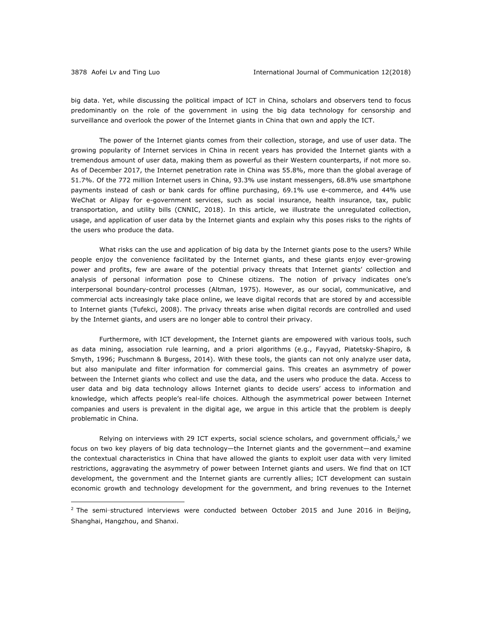1

big data. Yet, while discussing the political impact of ICT in China, scholars and observers tend to focus predominantly on the role of the government in using the big data technology for censorship and surveillance and overlook the power of the Internet giants in China that own and apply the ICT.

The power of the Internet giants comes from their collection, storage, and use of user data. The growing popularity of Internet services in China in recent years has provided the Internet giants with a tremendous amount of user data, making them as powerful as their Western counterparts, if not more so. As of December 2017, the Internet penetration rate in China was 55.8%, more than the global average of 51.7%. Of the 772 million Internet users in China, 93.3% use instant messengers, 68.8% use smartphone payments instead of cash or bank cards for offline purchasing, 69.1% use e-commerce, and 44% use WeChat or Alipay for e-government services, such as social insurance, health insurance, tax, public transportation, and utility bills (CNNIC, 2018). In this article, we illustrate the unregulated collection, usage, and application of user data by the Internet giants and explain why this poses risks to the rights of the users who produce the data.

What risks can the use and application of big data by the Internet giants pose to the users? While people enjoy the convenience facilitated by the Internet giants, and these giants enjoy ever-growing power and profits, few are aware of the potential privacy threats that Internet giants' collection and analysis of personal information pose to Chinese citizens. The notion of privacy indicates one's interpersonal boundary-control processes (Altman, 1975). However, as our social, communicative, and commercial acts increasingly take place online, we leave digital records that are stored by and accessible to Internet giants (Tufekci, 2008). The privacy threats arise when digital records are controlled and used by the Internet giants, and users are no longer able to control their privacy.

Furthermore, with ICT development, the Internet giants are empowered with various tools, such as data mining, association rule learning, and a priori algorithms (e.g., Fayyad, Piatetsky-Shapiro, & Smyth, 1996; Puschmann & Burgess, 2014). With these tools, the giants can not only analyze user data, but also manipulate and filter information for commercial gains. This creates an asymmetry of power between the Internet giants who collect and use the data, and the users who produce the data. Access to user data and big data technology allows Internet giants to decide users' access to information and knowledge, which affects people's real-life choices. Although the asymmetrical power between Internet companies and users is prevalent in the digital age, we argue in this article that the problem is deeply problematic in China.

Relying on interviews with 29 ICT experts, social science scholars, and government officials,<sup>2</sup> we focus on two key players of big data technology—the Internet giants and the government—and examine the contextual characteristics in China that have allowed the giants to exploit user data with very limited restrictions, aggravating the asymmetry of power between Internet giants and users. We find that on ICT development, the government and the Internet giants are currently allies; ICT development can sustain economic growth and technology development for the government, and bring revenues to the Internet

 $2$  The semi-structured interviews were conducted between October 2015 and June 2016 in Beijing, Shanghai, Hangzhou, and Shanxi.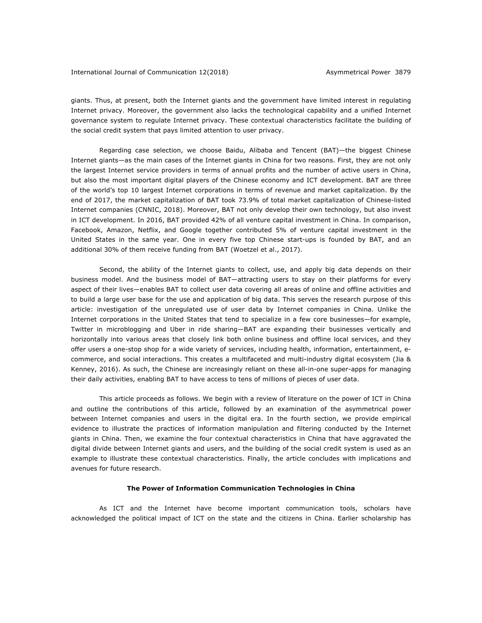giants. Thus, at present, both the Internet giants and the government have limited interest in regulating Internet privacy. Moreover, the government also lacks the technological capability and a unified Internet governance system to regulate Internet privacy. These contextual characteristics facilitate the building of the social credit system that pays limited attention to user privacy.

Regarding case selection, we choose Baidu, Alibaba and Tencent (BAT)—the biggest Chinese Internet giants—as the main cases of the Internet giants in China for two reasons. First, they are not only the largest Internet service providers in terms of annual profits and the number of active users in China, but also the most important digital players of the Chinese economy and ICT development. BAT are three of the world's top 10 largest Internet corporations in terms of revenue and market capitalization. By the end of 2017, the market capitalization of BAT took 73.9% of total market capitalization of Chinese-listed Internet companies (CNNIC, 2018). Moreover, BAT not only develop their own technology, but also invest in ICT development. In 2016, BAT provided 42% of all venture capital investment in China. In comparison, Facebook, Amazon, Netflix, and Google together contributed 5% of venture capital investment in the United States in the same year. One in every five top Chinese start-ups is founded by BAT, and an additional 30% of them receive funding from BAT (Woetzel et al., 2017).

Second, the ability of the Internet giants to collect, use, and apply big data depends on their business model. And the business model of BAT—attracting users to stay on their platforms for every aspect of their lives—enables BAT to collect user data covering all areas of online and offline activities and to build a large user base for the use and application of big data. This serves the research purpose of this article: investigation of the unregulated use of user data by Internet companies in China. Unlike the Internet corporations in the United States that tend to specialize in a few core businesses—for example, Twitter in microblogging and Uber in ride sharing—BAT are expanding their businesses vertically and horizontally into various areas that closely link both online business and offline local services, and they offer users a one-stop shop for a wide variety of services, including health, information, entertainment, ecommerce, and social interactions. This creates a multifaceted and multi-industry digital ecosystem (Jia & Kenney, 2016). As such, the Chinese are increasingly reliant on these all-in-one super-apps for managing their daily activities, enabling BAT to have access to tens of millions of pieces of user data.

This article proceeds as follows. We begin with a review of literature on the power of ICT in China and outline the contributions of this article, followed by an examination of the asymmetrical power between Internet companies and users in the digital era. In the fourth section, we provide empirical evidence to illustrate the practices of information manipulation and filtering conducted by the Internet giants in China. Then, we examine the four contextual characteristics in China that have aggravated the digital divide between Internet giants and users, and the building of the social credit system is used as an example to illustrate these contextual characteristics. Finally, the article concludes with implications and avenues for future research.

## **The Power of Information Communication Technologies in China**

As ICT and the Internet have become important communication tools, scholars have acknowledged the political impact of ICT on the state and the citizens in China. Earlier scholarship has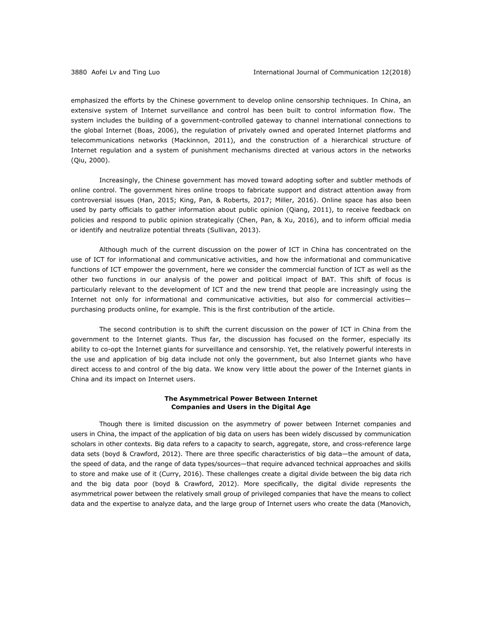emphasized the efforts by the Chinese government to develop online censorship techniques. In China, an extensive system of Internet surveillance and control has been built to control information flow. The system includes the building of a government-controlled gateway to channel international connections to the global Internet (Boas, 2006), the regulation of privately owned and operated Internet platforms and telecommunications networks (Mackinnon, 2011), and the construction of a hierarchical structure of Internet regulation and a system of punishment mechanisms directed at various actors in the networks (Qiu, 2000).

Increasingly, the Chinese government has moved toward adopting softer and subtler methods of online control. The government hires online troops to fabricate support and distract attention away from controversial issues (Han, 2015; King, Pan, & Roberts, 2017; Miller, 2016). Online space has also been used by party officials to gather information about public opinion (Qiang, 2011), to receive feedback on policies and respond to public opinion strategically (Chen, Pan, & Xu, 2016), and to inform official media or identify and neutralize potential threats (Sullivan, 2013).

Although much of the current discussion on the power of ICT in China has concentrated on the use of ICT for informational and communicative activities, and how the informational and communicative functions of ICT empower the government, here we consider the commercial function of ICT as well as the other two functions in our analysis of the power and political impact of BAT. This shift of focus is particularly relevant to the development of ICT and the new trend that people are increasingly using the Internet not only for informational and communicative activities, but also for commercial activities purchasing products online, for example. This is the first contribution of the article.

The second contribution is to shift the current discussion on the power of ICT in China from the government to the Internet giants. Thus far, the discussion has focused on the former, especially its ability to co-opt the Internet giants for surveillance and censorship. Yet, the relatively powerful interests in the use and application of big data include not only the government, but also Internet giants who have direct access to and control of the big data. We know very little about the power of the Internet giants in China and its impact on Internet users.

## **The Asymmetrical Power Between Internet Companies and Users in the Digital Age**

Though there is limited discussion on the asymmetry of power between Internet companies and users in China, the impact of the application of big data on users has been widely discussed by communication scholars in other contexts. Big data refers to a capacity to search, aggregate, store, and cross-reference large data sets (boyd & Crawford, 2012). There are three specific characteristics of big data—the amount of data, the speed of data, and the range of data types/sources—that require advanced technical approaches and skills to store and make use of it (Curry, 2016). These challenges create a digital divide between the big data rich and the big data poor (boyd & Crawford, 2012). More specifically, the digital divide represents the asymmetrical power between the relatively small group of privileged companies that have the means to collect data and the expertise to analyze data, and the large group of Internet users who create the data (Manovich,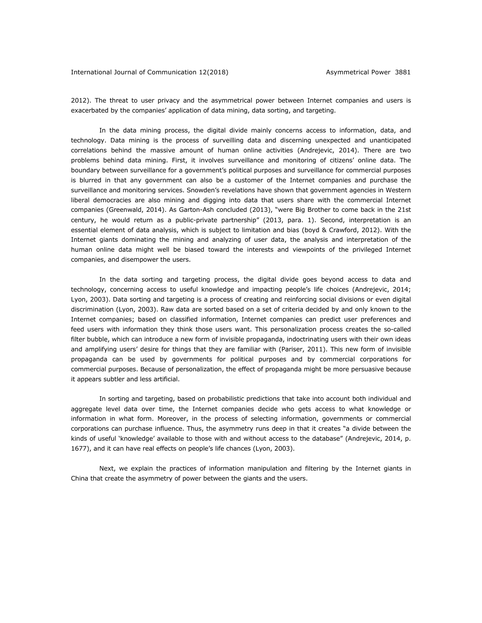2012). The threat to user privacy and the asymmetrical power between Internet companies and users is exacerbated by the companies' application of data mining, data sorting, and targeting.

In the data mining process, the digital divide mainly concerns access to information, data, and technology. Data mining is the process of surveilling data and discerning unexpected and unanticipated correlations behind the massive amount of human online activities (Andrejevic, 2014). There are two problems behind data mining. First, it involves surveillance and monitoring of citizens' online data. The boundary between surveillance for a government's political purposes and surveillance for commercial purposes is blurred in that any government can also be a customer of the Internet companies and purchase the surveillance and monitoring services. Snowden's revelations have shown that government agencies in Western liberal democracies are also mining and digging into data that users share with the commercial Internet companies (Greenwald, 2014). As Garton-Ash concluded (2013), "were Big Brother to come back in the 21st century, he would return as a public-private partnership" (2013, para. 1). Second, interpretation is an essential element of data analysis, which is subject to limitation and bias (boyd & Crawford, 2012). With the Internet giants dominating the mining and analyzing of user data, the analysis and interpretation of the human online data might well be biased toward the interests and viewpoints of the privileged Internet companies, and disempower the users.

In the data sorting and targeting process, the digital divide goes beyond access to data and technology, concerning access to useful knowledge and impacting people's life choices (Andrejevic, 2014; Lyon, 2003). Data sorting and targeting is a process of creating and reinforcing social divisions or even digital discrimination (Lyon, 2003). Raw data are sorted based on a set of criteria decided by and only known to the Internet companies; based on classified information, Internet companies can predict user preferences and feed users with information they think those users want. This personalization process creates the so-called filter bubble, which can introduce a new form of invisible propaganda, indoctrinating users with their own ideas and amplifying users' desire for things that they are familiar with (Pariser, 2011). This new form of invisible propaganda can be used by governments for political purposes and by commercial corporations for commercial purposes. Because of personalization, the effect of propaganda might be more persuasive because it appears subtler and less artificial.

In sorting and targeting, based on probabilistic predictions that take into account both individual and aggregate level data over time, the Internet companies decide who gets access to what knowledge or information in what form. Moreover, in the process of selecting information, governments or commercial corporations can purchase influence. Thus, the asymmetry runs deep in that it creates "a divide between the kinds of useful 'knowledge' available to those with and without access to the database" (Andrejevic, 2014, p. 1677), and it can have real effects on people's life chances (Lyon, 2003).

Next, we explain the practices of information manipulation and filtering by the Internet giants in China that create the asymmetry of power between the giants and the users.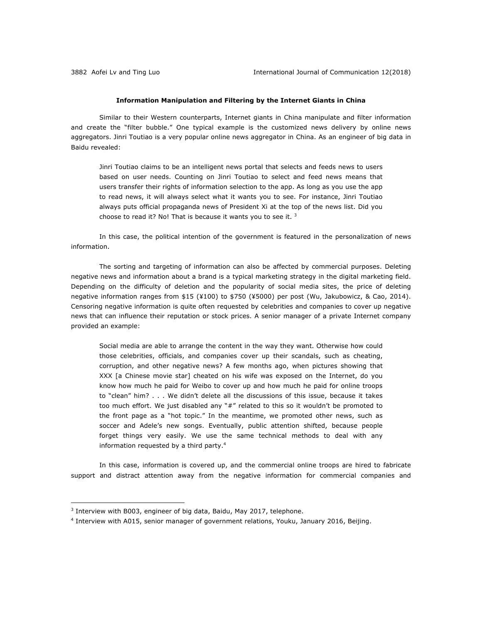#### **Information Manipulation and Filtering by the Internet Giants in China**

Similar to their Western counterparts, Internet giants in China manipulate and filter information and create the "filter bubble." One typical example is the customized news delivery by online news aggregators. Jinri Toutiao is a very popular online news aggregator in China. As an engineer of big data in Baidu revealed:

Jinri Toutiao claims to be an intelligent news portal that selects and feeds news to users based on user needs. Counting on Jinri Toutiao to select and feed news means that users transfer their rights of information selection to the app. As long as you use the app to read news, it will always select what it wants you to see. For instance, Jinri Toutiao always puts official propaganda news of President Xi at the top of the news list. Did you choose to read it? No! That is because it wants you to see it. 3

In this case, the political intention of the government is featured in the personalization of news information.

The sorting and targeting of information can also be affected by commercial purposes. Deleting negative news and information about a brand is a typical marketing strategy in the digital marketing field. Depending on the difficulty of deletion and the popularity of social media sites, the price of deleting negative information ranges from \$15 (¥100) to \$750 (¥5000) per post (Wu, Jakubowicz, & Cao, 2014). Censoring negative information is quite often requested by celebrities and companies to cover up negative news that can influence their reputation or stock prices. A senior manager of a private Internet company provided an example:

Social media are able to arrange the content in the way they want. Otherwise how could those celebrities, officials, and companies cover up their scandals, such as cheating, corruption, and other negative news? A few months ago, when pictures showing that XXX [a Chinese movie star] cheated on his wife was exposed on the Internet, do you know how much he paid for Weibo to cover up and how much he paid for online troops to "clean" him? . . . We didn't delete all the discussions of this issue, because it takes too much effort. We just disabled any "#" related to this so it wouldn't be promoted to the front page as a "hot topic." In the meantime, we promoted other news, such as soccer and Adele's new songs. Eventually, public attention shifted, because people forget things very easily. We use the same technical methods to deal with any information requested by a third party.4

In this case, information is covered up, and the commercial online troops are hired to fabricate support and distract attention away from the negative information for commercial companies and

<sup>&</sup>lt;sup>3</sup> Interview with B003, engineer of big data, Baidu, May 2017, telephone.

<sup>4</sup> Interview with A015, senior manager of government relations, Youku, January 2016, Beijing.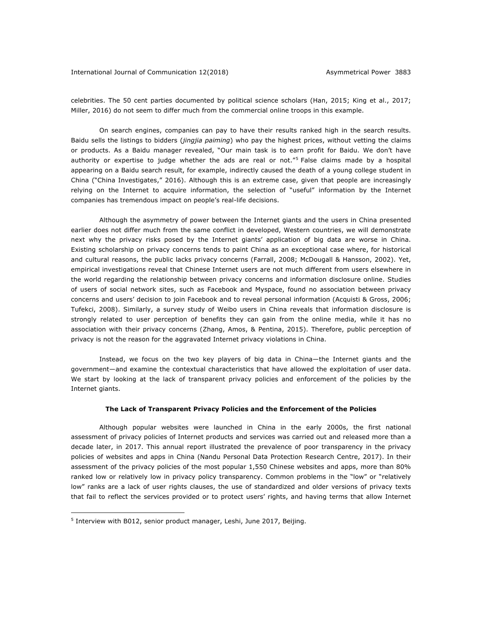#### International Journal of Communication 12(2018) Asymmetrical Power 3883

celebrities. The 50 cent parties documented by political science scholars (Han, 2015; King et al., 2017; Miller, 2016) do not seem to differ much from the commercial online troops in this example.

On search engines, companies can pay to have their results ranked high in the search results. Baidu sells the listings to bidders (*jingjia paiming*) who pay the highest prices, without vetting the claims or products. As a Baidu manager revealed, "Our main task is to earn profit for Baidu. We don't have authority or expertise to judge whether the ads are real or not."5 False claims made by a hospital appearing on a Baidu search result, for example, indirectly caused the death of a young college student in China ("China Investigates," 2016). Although this is an extreme case, given that people are increasingly relying on the Internet to acquire information, the selection of "useful" information by the Internet companies has tremendous impact on people's real-life decisions.

Although the asymmetry of power between the Internet giants and the users in China presented earlier does not differ much from the same conflict in developed, Western countries, we will demonstrate next why the privacy risks posed by the Internet giants' application of big data are worse in China. Existing scholarship on privacy concerns tends to paint China as an exceptional case where, for historical and cultural reasons, the public lacks privacy concerns (Farrall, 2008; McDougall & Hansson, 2002). Yet, empirical investigations reveal that Chinese Internet users are not much different from users elsewhere in the world regarding the relationship between privacy concerns and information disclosure online. Studies of users of social network sites, such as Facebook and Myspace, found no association between privacy concerns and users' decision to join Facebook and to reveal personal information (Acquisti & Gross, 2006; Tufekci, 2008). Similarly, a survey study of Weibo users in China reveals that information disclosure is strongly related to user perception of benefits they can gain from the online media, while it has no association with their privacy concerns (Zhang, Amos, & Pentina, 2015). Therefore, public perception of privacy is not the reason for the aggravated Internet privacy violations in China.

Instead, we focus on the two key players of big data in China—the Internet giants and the government—and examine the contextual characteristics that have allowed the exploitation of user data. We start by looking at the lack of transparent privacy policies and enforcement of the policies by the Internet giants.

#### **The Lack of Transparent Privacy Policies and the Enforcement of the Policies**

Although popular websites were launched in China in the early 2000s, the first national assessment of privacy policies of Internet products and services was carried out and released more than a decade later, in 2017. This annual report illustrated the prevalence of poor transparency in the privacy policies of websites and apps in China (Nandu Personal Data Protection Research Centre, 2017). In their assessment of the privacy policies of the most popular 1,550 Chinese websites and apps, more than 80% ranked low or relatively low in privacy policy transparency. Common problems in the "low" or "relatively low" ranks are a lack of user rights clauses, the use of standardized and older versions of privacy texts that fail to reflect the services provided or to protect users' rights, and having terms that allow Internet

<sup>5</sup> Interview with B012, senior product manager, Leshi, June 2017, Beijing.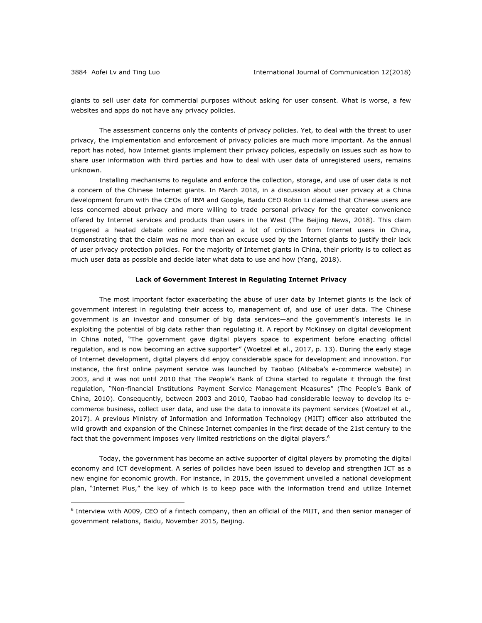1

giants to sell user data for commercial purposes without asking for user consent. What is worse, a few websites and apps do not have any privacy policies.

The assessment concerns only the contents of privacy policies. Yet, to deal with the threat to user privacy, the implementation and enforcement of privacy policies are much more important. As the annual report has noted, how Internet giants implement their privacy policies, especially on issues such as how to share user information with third parties and how to deal with user data of unregistered users, remains unknown.

Installing mechanisms to regulate and enforce the collection, storage, and use of user data is not a concern of the Chinese Internet giants. In March 2018, in a discussion about user privacy at a China development forum with the CEOs of IBM and Google, Baidu CEO Robin Li claimed that Chinese users are less concerned about privacy and more willing to trade personal privacy for the greater convenience offered by Internet services and products than users in the West (The Beijing News, 2018). This claim triggered a heated debate online and received a lot of criticism from Internet users in China, demonstrating that the claim was no more than an excuse used by the Internet giants to justify their lack of user privacy protection policies. For the majority of Internet giants in China, their priority is to collect as much user data as possible and decide later what data to use and how (Yang, 2018).

#### **Lack of Government Interest in Regulating Internet Privacy**

The most important factor exacerbating the abuse of user data by Internet giants is the lack of government interest in regulating their access to, management of, and use of user data. The Chinese government is an investor and consumer of big data services—and the government's interests lie in exploiting the potential of big data rather than regulating it. A report by McKinsey on digital development in China noted, "The government gave digital players space to experiment before enacting official regulation, and is now becoming an active supporter" (Woetzel et al., 2017, p. 13). During the early stage of Internet development, digital players did enjoy considerable space for development and innovation. For instance, the first online payment service was launched by Taobao (Alibaba's e-commerce website) in 2003, and it was not until 2010 that The People's Bank of China started to regulate it through the first regulation, "Non-financial Institutions Payment Service Management Measures" (The People's Bank of China, 2010). Consequently, between 2003 and 2010, Taobao had considerable leeway to develop its ecommerce business, collect user data, and use the data to innovate its payment services (Woetzel et al., 2017). A previous Ministry of Information and Information Technology (MIIT) officer also attributed the wild growth and expansion of the Chinese Internet companies in the first decade of the 21st century to the fact that the government imposes very limited restrictions on the digital players.<sup>6</sup>

Today, the government has become an active supporter of digital players by promoting the digital economy and ICT development. A series of policies have been issued to develop and strengthen ICT as a new engine for economic growth. For instance, in 2015, the government unveiled a national development plan, "Internet Plus," the key of which is to keep pace with the information trend and utilize Internet

<sup>6</sup> Interview with A009, CEO of a fintech company, then an official of the MIIT, and then senior manager of government relations, Baidu, November 2015, Beijing.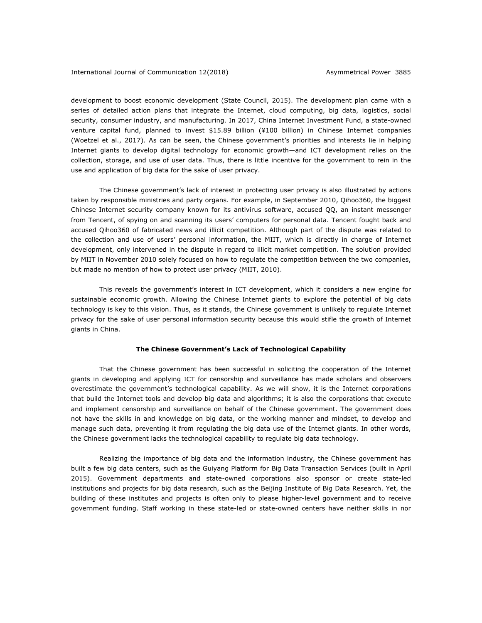development to boost economic development (State Council, 2015). The development plan came with a series of detailed action plans that integrate the Internet, cloud computing, big data, logistics, social security, consumer industry, and manufacturing. In 2017, China Internet Investment Fund, a state-owned venture capital fund, planned to invest \$15.89 billion (¥100 billion) in Chinese Internet companies (Woetzel et al., 2017). As can be seen, the Chinese government's priorities and interests lie in helping Internet giants to develop digital technology for economic growth—and ICT development relies on the collection, storage, and use of user data. Thus, there is little incentive for the government to rein in the use and application of big data for the sake of user privacy.

The Chinese government's lack of interest in protecting user privacy is also illustrated by actions taken by responsible ministries and party organs. For example, in September 2010, Qihoo360, the biggest Chinese Internet security company known for its antivirus software, accused QQ, an instant messenger from Tencent, of spying on and scanning its users' computers for personal data. Tencent fought back and accused Qihoo360 of fabricated news and illicit competition. Although part of the dispute was related to the collection and use of users' personal information, the MIIT, which is directly in charge of Internet development, only intervened in the dispute in regard to illicit market competition. The solution provided by MIIT in November 2010 solely focused on how to regulate the competition between the two companies, but made no mention of how to protect user privacy (MIIT, 2010).

This reveals the government's interest in ICT development, which it considers a new engine for sustainable economic growth. Allowing the Chinese Internet giants to explore the potential of big data technology is key to this vision. Thus, as it stands, the Chinese government is unlikely to regulate Internet privacy for the sake of user personal information security because this would stifle the growth of Internet giants in China.

### **The Chinese Government's Lack of Technological Capability**

That the Chinese government has been successful in soliciting the cooperation of the Internet giants in developing and applying ICT for censorship and surveillance has made scholars and observers overestimate the government's technological capability. As we will show, it is the Internet corporations that build the Internet tools and develop big data and algorithms; it is also the corporations that execute and implement censorship and surveillance on behalf of the Chinese government. The government does not have the skills in and knowledge on big data, or the working manner and mindset, to develop and manage such data, preventing it from regulating the big data use of the Internet giants. In other words, the Chinese government lacks the technological capability to regulate big data technology.

Realizing the importance of big data and the information industry, the Chinese government has built a few big data centers, such as the Guiyang Platform for Big Data Transaction Services (built in April 2015). Government departments and state-owned corporations also sponsor or create state-led institutions and projects for big data research, such as the Beijing Institute of Big Data Research. Yet, the building of these institutes and projects is often only to please higher-level government and to receive government funding. Staff working in these state-led or state-owned centers have neither skills in nor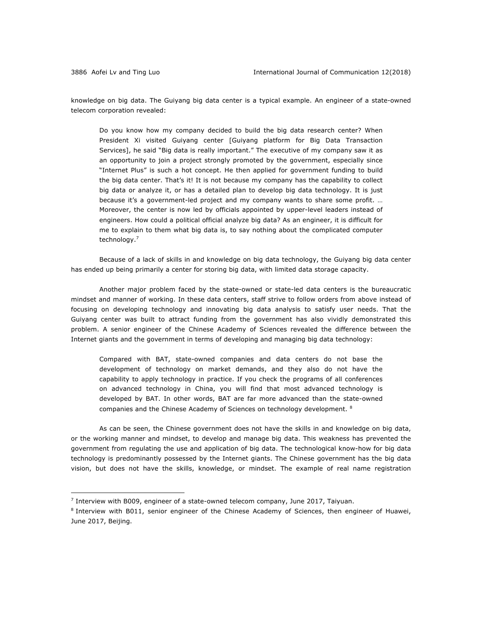<u>.</u>

knowledge on big data. The Guiyang big data center is a typical example. An engineer of a state-owned telecom corporation revealed:

Do you know how my company decided to build the big data research center? When President Xi visited Guiyang center [Guiyang platform for Big Data Transaction Services], he said "Big data is really important." The executive of my company saw it as an opportunity to join a project strongly promoted by the government, especially since "Internet Plus" is such a hot concept. He then applied for government funding to build the big data center. That's it! It is not because my company has the capability to collect big data or analyze it, or has a detailed plan to develop big data technology. It is just because it's a government-led project and my company wants to share some profit. … Moreover, the center is now led by officials appointed by upper-level leaders instead of engineers. How could a political official analyze big data? As an engineer, it is difficult for me to explain to them what big data is, to say nothing about the complicated computer technology.7

Because of a lack of skills in and knowledge on big data technology, the Guiyang big data center has ended up being primarily a center for storing big data, with limited data storage capacity.

Another major problem faced by the state-owned or state-led data centers is the bureaucratic mindset and manner of working. In these data centers, staff strive to follow orders from above instead of focusing on developing technology and innovating big data analysis to satisfy user needs. That the Guiyang center was built to attract funding from the government has also vividly demonstrated this problem. A senior engineer of the Chinese Academy of Sciences revealed the difference between the Internet giants and the government in terms of developing and managing big data technology:

Compared with BAT, state-owned companies and data centers do not base the development of technology on market demands, and they also do not have the capability to apply technology in practice. If you check the programs of all conferences on advanced technology in China, you will find that most advanced technology is developed by BAT. In other words, BAT are far more advanced than the state-owned companies and the Chinese Academy of Sciences on technology development. 8

As can be seen, the Chinese government does not have the skills in and knowledge on big data, or the working manner and mindset, to develop and manage big data. This weakness has prevented the government from regulating the use and application of big data. The technological know-how for big data technology is predominantly possessed by the Internet giants. The Chinese government has the big data vision, but does not have the skills, knowledge, or mindset. The example of real name registration

 $<sup>7</sup>$  Interview with B009, engineer of a state-owned telecom company, June 2017, Taiyuan.</sup>

<sup>&</sup>lt;sup>8</sup> Interview with B011, senior engineer of the Chinese Academy of Sciences, then engineer of Huawei, June 2017, Beijing.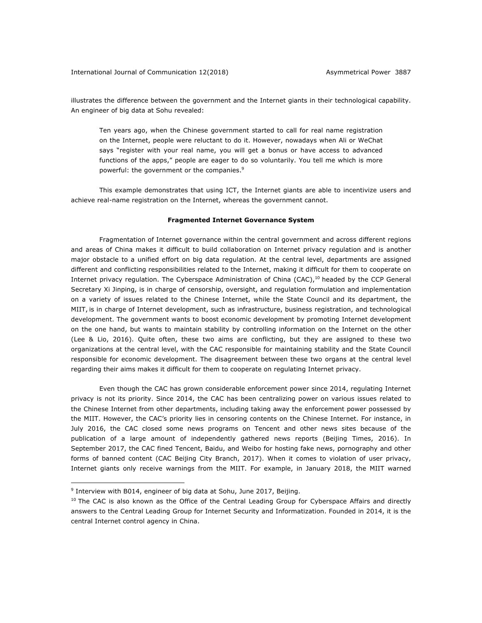illustrates the difference between the government and the Internet giants in their technological capability. An engineer of big data at Sohu revealed:

Ten years ago, when the Chinese government started to call for real name registration on the Internet, people were reluctant to do it. However, nowadays when Ali or WeChat says "register with your real name, you will get a bonus or have access to advanced functions of the apps," people are eager to do so voluntarily. You tell me which is more powerful: the government or the companies.<sup>9</sup>

This example demonstrates that using ICT, the Internet giants are able to incentivize users and achieve real-name registration on the Internet, whereas the government cannot.

#### **Fragmented Internet Governance System**

Fragmentation of Internet governance within the central government and across different regions and areas of China makes it difficult to build collaboration on Internet privacy regulation and is another major obstacle to a unified effort on big data regulation. At the central level, departments are assigned different and conflicting responsibilities related to the Internet, making it difficult for them to cooperate on Internet privacy regulation. The Cyberspace Administration of China (CAC),<sup>10</sup> headed by the CCP General Secretary Xi Jinping, is in charge of censorship, oversight, and regulation formulation and implementation on a variety of issues related to the Chinese Internet, while the State Council and its department, the MIIT, is in charge of Internet development, such as infrastructure, business registration, and technological development. The government wants to boost economic development by promoting Internet development on the one hand, but wants to maintain stability by controlling information on the Internet on the other (Lee & Lio, 2016). Quite often, these two aims are conflicting, but they are assigned to these two organizations at the central level, with the CAC responsible for maintaining stability and the State Council responsible for economic development. The disagreement between these two organs at the central level regarding their aims makes it difficult for them to cooperate on regulating Internet privacy.

Even though the CAC has grown considerable enforcement power since 2014, regulating Internet privacy is not its priority. Since 2014, the CAC has been centralizing power on various issues related to the Chinese Internet from other departments, including taking away the enforcement power possessed by the MIIT. However, the CAC's priority lies in censoring contents on the Chinese Internet. For instance, in July 2016, the CAC closed some news programs on Tencent and other news sites because of the publication of a large amount of independently gathered news reports (Beijing Times, 2016). In September 2017, the CAC fined Tencent, Baidu, and Weibo for hosting fake news, pornography and other forms of banned content (CAC Beijing City Branch, 2017). When it comes to violation of user privacy, Internet giants only receive warnings from the MIIT. For example, in January 2018, the MIIT warned

<sup>&</sup>lt;sup>9</sup> Interview with B014, engineer of big data at Sohu, June 2017, Beijing.

 $10$  The CAC is also known as the Office of the Central Leading Group for Cyberspace Affairs and directly answers to the Central Leading Group for Internet Security and Informatization. Founded in 2014, it is the central Internet control agency in China.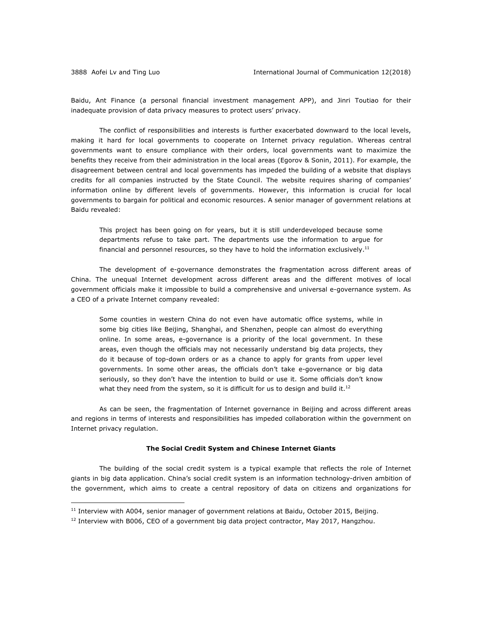1

Baidu, Ant Finance (a personal financial investment management APP), and Jinri Toutiao for their inadequate provision of data privacy measures to protect users' privacy.

The conflict of responsibilities and interests is further exacerbated downward to the local levels, making it hard for local governments to cooperate on Internet privacy regulation. Whereas central governments want to ensure compliance with their orders, local governments want to maximize the benefits they receive from their administration in the local areas (Egorov & Sonin, 2011). For example, the disagreement between central and local governments has impeded the building of a website that displays credits for all companies instructed by the State Council. The website requires sharing of companies' information online by different levels of governments. However, this information is crucial for local governments to bargain for political and economic resources. A senior manager of government relations at Baidu revealed:

This project has been going on for years, but it is still underdeveloped because some departments refuse to take part. The departments use the information to argue for financial and personnel resources, so they have to hold the information exclusively.<sup>11</sup>

The development of e-governance demonstrates the fragmentation across different areas of China. The unequal Internet development across different areas and the different motives of local government officials make it impossible to build a comprehensive and universal e-governance system. As a CEO of a private Internet company revealed:

Some counties in western China do not even have automatic office systems, while in some big cities like Beijing, Shanghai, and Shenzhen, people can almost do everything online. In some areas, e-governance is a priority of the local government. In these areas, even though the officials may not necessarily understand big data projects, they do it because of top-down orders or as a chance to apply for grants from upper level governments. In some other areas, the officials don't take e-governance or big data seriously, so they don't have the intention to build or use it. Some officials don't know what they need from the system, so it is difficult for us to design and build it.<sup>12</sup>

As can be seen, the fragmentation of Internet governance in Beijing and across different areas and regions in terms of interests and responsibilities has impeded collaboration within the government on Internet privacy regulation.

#### **The Social Credit System and Chinese Internet Giants**

The building of the social credit system is a typical example that reflects the role of Internet giants in big data application. China's social credit system is an information technology-driven ambition of the government, which aims to create a central repository of data on citizens and organizations for

 $11$  Interview with A004, senior manager of government relations at Baidu, October 2015, Beijing.

 $12$  Interview with B006, CEO of a government big data project contractor, May 2017, Hangzhou.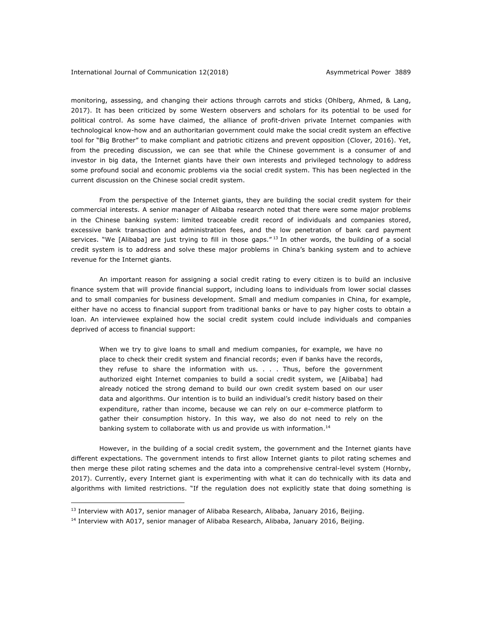monitoring, assessing, and changing their actions through carrots and sticks (Ohlberg, Ahmed, & Lang, 2017). It has been criticized by some Western observers and scholars for its potential to be used for political control. As some have claimed, the alliance of profit-driven private Internet companies with technological know-how and an authoritarian government could make the social credit system an effective tool for "Big Brother" to make compliant and patriotic citizens and prevent opposition (Clover, 2016). Yet, from the preceding discussion, we can see that while the Chinese government is a consumer of and investor in big data, the Internet giants have their own interests and privileged technology to address some profound social and economic problems via the social credit system. This has been neglected in the current discussion on the Chinese social credit system.

From the perspective of the Internet giants, they are building the social credit system for their commercial interests. A senior manager of Alibaba research noted that there were some major problems in the Chinese banking system: limited traceable credit record of individuals and companies stored, excessive bank transaction and administration fees, and the low penetration of bank card payment services. "We [Alibaba] are just trying to fill in those gaps."<sup>13</sup> In other words, the building of a social credit system is to address and solve these major problems in China's banking system and to achieve revenue for the Internet giants.

An important reason for assigning a social credit rating to every citizen is to build an inclusive finance system that will provide financial support, including loans to individuals from lower social classes and to small companies for business development. Small and medium companies in China, for example, either have no access to financial support from traditional banks or have to pay higher costs to obtain a loan. An interviewee explained how the social credit system could include individuals and companies deprived of access to financial support:

When we try to give loans to small and medium companies, for example, we have no place to check their credit system and financial records; even if banks have the records, they refuse to share the information with us. . . . Thus, before the government authorized eight Internet companies to build a social credit system, we [Alibaba] had already noticed the strong demand to build our own credit system based on our user data and algorithms. Our intention is to build an individual's credit history based on their expenditure, rather than income, because we can rely on our e-commerce platform to gather their consumption history. In this way, we also do not need to rely on the banking system to collaborate with us and provide us with information.<sup>14</sup>

However, in the building of a social credit system, the government and the Internet giants have different expectations. The government intends to first allow Internet giants to pilot rating schemes and then merge these pilot rating schemes and the data into a comprehensive central-level system (Hornby, 2017). Currently, every Internet giant is experimenting with what it can do technically with its data and algorithms with limited restrictions. "If the regulation does not explicitly state that doing something is

<sup>&</sup>lt;sup>13</sup> Interview with A017, senior manager of Alibaba Research, Alibaba, January 2016, Beijing.

<sup>&</sup>lt;sup>14</sup> Interview with A017, senior manager of Alibaba Research, Alibaba, January 2016, Beijing.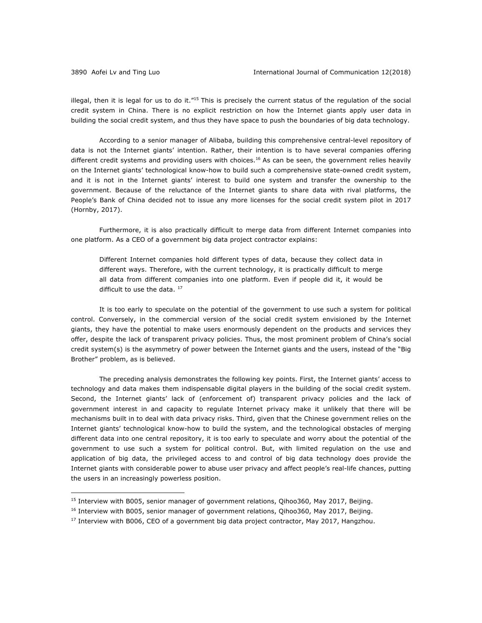<u>.</u>

illegal, then it is legal for us to do it."<sup>15</sup> This is precisely the current status of the regulation of the social credit system in China. There is no explicit restriction on how the Internet giants apply user data in building the social credit system, and thus they have space to push the boundaries of big data technology.

According to a senior manager of Alibaba, building this comprehensive central-level repository of data is not the Internet giants' intention. Rather, their intention is to have several companies offering different credit systems and providing users with choices.<sup>16</sup> As can be seen, the government relies heavily on the Internet giants' technological know-how to build such a comprehensive state-owned credit system, and it is not in the Internet giants' interest to build one system and transfer the ownership to the government. Because of the reluctance of the Internet giants to share data with rival platforms, the People's Bank of China decided not to issue any more licenses for the social credit system pilot in 2017 (Hornby, 2017).

Furthermore, it is also practically difficult to merge data from different Internet companies into one platform. As a CEO of a government big data project contractor explains:

Different Internet companies hold different types of data, because they collect data in different ways. Therefore, with the current technology, it is practically difficult to merge all data from different companies into one platform. Even if people did it, it would be difficult to use the data. <sup>17</sup>

It is too early to speculate on the potential of the government to use such a system for political control. Conversely, in the commercial version of the social credit system envisioned by the Internet giants, they have the potential to make users enormously dependent on the products and services they offer, despite the lack of transparent privacy policies. Thus, the most prominent problem of China's social credit system(s) is the asymmetry of power between the Internet giants and the users, instead of the "Big Brother" problem, as is believed.

The preceding analysis demonstrates the following key points. First, the Internet giants' access to technology and data makes them indispensable digital players in the building of the social credit system. Second, the Internet giants' lack of (enforcement of) transparent privacy policies and the lack of government interest in and capacity to regulate Internet privacy make it unlikely that there will be mechanisms built in to deal with data privacy risks. Third, given that the Chinese government relies on the Internet giants' technological know-how to build the system, and the technological obstacles of merging different data into one central repository, it is too early to speculate and worry about the potential of the government to use such a system for political control. But, with limited regulation on the use and application of big data, the privileged access to and control of big data technology does provide the Internet giants with considerable power to abuse user privacy and affect people's real-life chances, putting the users in an increasingly powerless position.

<sup>&</sup>lt;sup>15</sup> Interview with B005, senior manager of government relations, Oihoo360, May 2017, Beijing.

<sup>&</sup>lt;sup>16</sup> Interview with B005, senior manager of government relations, Oihoo360, May 2017, Beijing.

 $17$  Interview with B006, CEO of a government big data project contractor, May 2017, Hangzhou.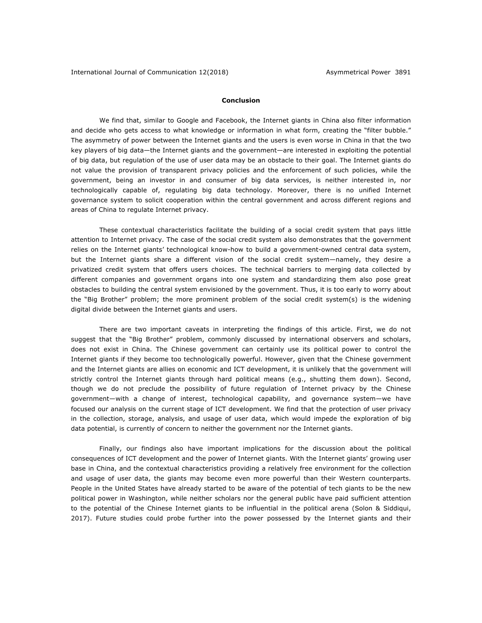#### **Conclusion**

We find that, similar to Google and Facebook, the Internet giants in China also filter information and decide who gets access to what knowledge or information in what form, creating the "filter bubble." The asymmetry of power between the Internet giants and the users is even worse in China in that the two key players of big data—the Internet giants and the government—are interested in exploiting the potential of big data, but regulation of the use of user data may be an obstacle to their goal. The Internet giants do not value the provision of transparent privacy policies and the enforcement of such policies, while the government, being an investor in and consumer of big data services, is neither interested in, nor technologically capable of, regulating big data technology. Moreover, there is no unified Internet governance system to solicit cooperation within the central government and across different regions and areas of China to regulate Internet privacy.

These contextual characteristics facilitate the building of a social credit system that pays little attention to Internet privacy. The case of the social credit system also demonstrates that the government relies on the Internet giants' technological know-how to build a government-owned central data system, but the Internet giants share a different vision of the social credit system—namely, they desire a privatized credit system that offers users choices. The technical barriers to merging data collected by different companies and government organs into one system and standardizing them also pose great obstacles to building the central system envisioned by the government. Thus, it is too early to worry about the "Big Brother" problem; the more prominent problem of the social credit system(s) is the widening digital divide between the Internet giants and users.

There are two important caveats in interpreting the findings of this article. First, we do not suggest that the "Big Brother" problem, commonly discussed by international observers and scholars, does not exist in China. The Chinese government can certainly use its political power to control the Internet giants if they become too technologically powerful. However, given that the Chinese government and the Internet giants are allies on economic and ICT development, it is unlikely that the government will strictly control the Internet giants through hard political means (e.g., shutting them down). Second, though we do not preclude the possibility of future regulation of Internet privacy by the Chinese government—with a change of interest, technological capability, and governance system—we have focused our analysis on the current stage of ICT development. We find that the protection of user privacy in the collection, storage, analysis, and usage of user data, which would impede the exploration of big data potential, is currently of concern to neither the government nor the Internet giants.

Finally, our findings also have important implications for the discussion about the political consequences of ICT development and the power of Internet giants. With the Internet giants' growing user base in China, and the contextual characteristics providing a relatively free environment for the collection and usage of user data, the giants may become even more powerful than their Western counterparts. People in the United States have already started to be aware of the potential of tech giants to be the new political power in Washington, while neither scholars nor the general public have paid sufficient attention to the potential of the Chinese Internet giants to be influential in the political arena (Solon & Siddiqui, 2017). Future studies could probe further into the power possessed by the Internet giants and their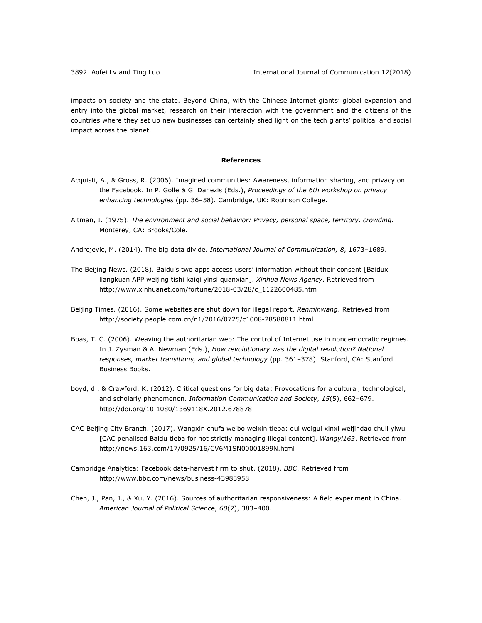impacts on society and the state. Beyond China, with the Chinese Internet giants' global expansion and entry into the global market, research on their interaction with the government and the citizens of the countries where they set up new businesses can certainly shed light on the tech giants' political and social impact across the planet.

#### **References**

- Acquisti, A., & Gross, R. (2006). Imagined communities: Awareness, information sharing, and privacy on the Facebook. In P. Golle & G. Danezis (Eds.), *Proceedings of the 6th workshop on privacy enhancing technologies* (pp. 36–58). Cambridge, UK: Robinson College.
- Altman, I. (1975). *The environment and social behavior: Privacy, personal space, territory, crowding*. Monterey, CA: Brooks/Cole.
- Andrejevic, M. (2014). The big data divide. *International Journal of Communication*, 8, 1673-1689.
- The Beijing News. (2018). Baidu's two apps access users' information without their consent [Baiduxi liangkuan APP weijing tishi kaiqi yinsi quanxian]. *Xinhua News Agency*. Retrieved from http://www.xinhuanet.com/fortune/2018-03/28/c\_1122600485.htm
- Beijing Times. (2016). Some websites are shut down for illegal report. *Renminwang*. Retrieved from http://society.people.com.cn/n1/2016/0725/c1008-28580811.html
- Boas, T. C. (2006). Weaving the authoritarian web: The control of Internet use in nondemocratic regimes. In J. Zysman & A. Newman (Eds.), *How revolutionary was the digital revolution? National responses, market transitions, and global technology* (pp. 361–378). Stanford, CA: Stanford Business Books.
- boyd, d., & Crawford, K. (2012). Critical questions for big data: Provocations for a cultural, technological, and scholarly phenomenon. *Information Communication and Society*, *15*(5), 662–679. http://doi.org/10.1080/1369118X.2012.678878
- CAC Beijing City Branch. (2017). Wangxin chufa weibo weixin tieba: dui weigui xinxi weijindao chuli yiwu [CAC penalised Baidu tieba for not strictly managing illegal content]. *Wangyi163*. Retrieved from http://news.163.com/17/0925/16/CV6M1SN00001899N.html
- Cambridge Analytica: Facebook data-harvest firm to shut. (2018). *BBC*. Retrieved from http://www.bbc.com/news/business-43983958
- Chen, J., Pan, J., & Xu, Y. (2016). Sources of authoritarian responsiveness: A field experiment in China. *American Journal of Political Science*, *60*(2), 383–400.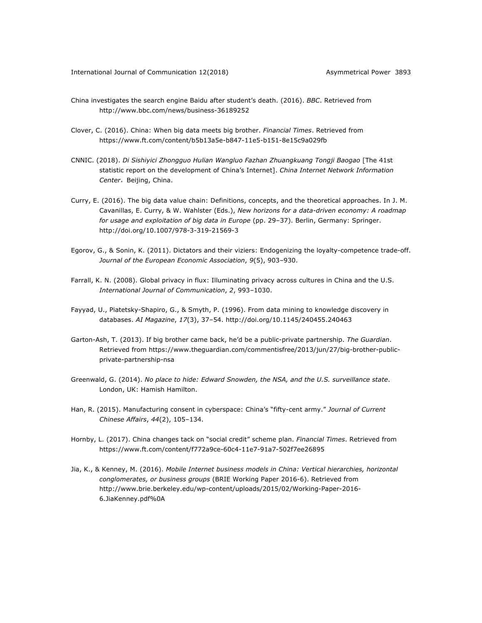- China investigates the search engine Baidu after student's death. (2016). *BBC*. Retrieved from http://www.bbc.com/news/business-36189252
- Clover, C. (2016). China: When big data meets big brother. *Financial Times*. Retrieved from https://www.ft.com/content/b5b13a5e-b847-11e5-b151-8e15c9a029fb
- CNNIC. (2018). *Di Sishiyici Zhongguo Hulian Wangluo Fazhan Zhuangkuang Tongji Baogao* [The 41st statistic report on the development of China's Internet]. *China Internet Network Information Center*, Beijing, China.
- Curry, E. (2016). The big data value chain: Definitions, concepts, and the theoretical approaches. In J. M. Cavanillas, E. Curry, & W. Wahlster (Eds.), *New horizons for a data-driven economy: A roadmap for usage and exploitation of big data in Europe* (pp. 29–37). Berlin, Germany: Springer. http://doi.org/10.1007/978-3-319-21569-3
- Egorov, G., & Sonin, K. (2011). Dictators and their viziers: Endogenizing the loyalty-competence trade-off. *Journal of the European Economic Association*, *9*(5), 903–930.
- Farrall, K. N. (2008). Global privacy in flux: Illuminating privacy across cultures in China and the U.S. *International Journal of Communication*, *2*, 993–1030.
- Fayyad, U., Piatetsky-Shapiro, G., & Smyth, P. (1996). From data mining to knowledge discovery in databases. *AI Magazine*, *17*(3), 37–54. http://doi.org/10.1145/240455.240463
- Garton-Ash, T. (2013). If big brother came back, he'd be a public-private partnership. *The Guardian*. Retrieved from https://www.theguardian.com/commentisfree/2013/jun/27/big-brother-publicprivate-partnership-nsa
- Greenwald, G. (2014). *No place to hide: Edward Snowden, the NSA, and the U.S. surveillance state*. London, UK: Hamish Hamilton.
- Han, R. (2015). Manufacturing consent in cyberspace: China's "fifty-cent army." *Journal of Current Chinese Affairs*, *44*(2), 105–134.
- Hornby, L. (2017). China changes tack on "social credit" scheme plan. *Financial Times*. Retrieved from https://www.ft.com/content/f772a9ce-60c4-11e7-91a7-502f7ee26895
- Jia, K., & Kenney, M. (2016). *Mobile Internet business models in China: Vertical hierarchies, horizontal conglomerates, or business groups* (BRIE Working Paper 2016-6). Retrieved from http://www.brie.berkeley.edu/wp-content/uploads/2015/02/Working-Paper-2016- 6.JiaKenney.pdf%0A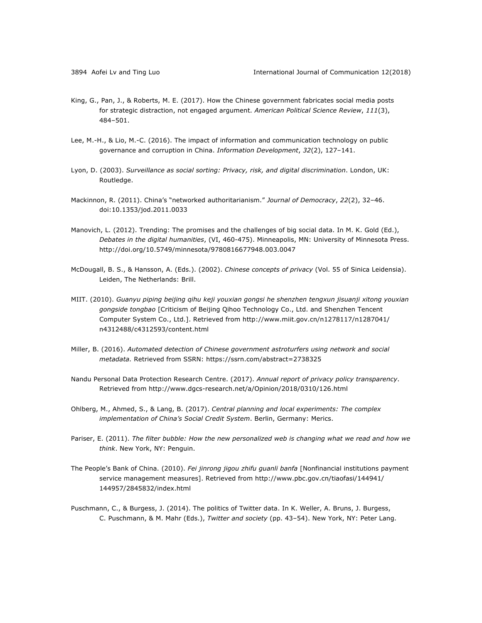- King, G., Pan, J., & Roberts, M. E. (2017). How the Chinese government fabricates social media posts for strategic distraction, not engaged argument. *American Political Science Review*, *111*(3), 484–501.
- Lee, M.-H., & Lio, M.-C. (2016). The impact of information and communication technology on public governance and corruption in China. *Information Development*, *32*(2), 127–141.
- Lyon, D. (2003). *Surveillance as social sorting: Privacy, risk, and digital discrimination*. London, UK: Routledge.
- Mackinnon, R. (2011). China's "networked authoritarianism." *Journal of Democracy*, *22*(2), 32–46. doi:10.1353/jod.2011.0033
- Manovich, L. (2012). Trending: The promises and the challenges of big social data. In M. K. Gold (Ed.), *Debates in the digital humanities*, (VI, 460-475). Minneapolis, MN: University of Minnesota Press. http://doi.org/10.5749/minnesota/9780816677948.003.0047
- McDougall, B. S., & Hansson, A. (Eds.). (2002). *Chinese concepts of privacy* (Vol. 55 of Sinica Leidensia). Leiden, The Netherlands: Brill.
- MIIT. (2010). *Guanyu piping beijing qihu keji youxian gongsi he shenzhen tengxun jisuanji xitong youxian gongside tongbao* [Criticism of Beijing Qihoo Technology Co., Ltd. and Shenzhen Tencent Computer System Co., Ltd.]. Retrieved from http://www.miit.gov.cn/n1278117/n1287041/ n4312488/c4312593/content.html
- Miller, B. (2016). *Automated detection of Chinese government astroturfers using network and social metadata.* Retrieved from SSRN: https://ssrn.com/abstract=2738325
- Nandu Personal Data Protection Research Centre. (2017). *Annual report of privacy policy transparency*. Retrieved from http://www.dgcs-research.net/a/Opinion/2018/0310/126.html
- Ohlberg, M., Ahmed, S., & Lang, B. (2017). *Central planning and local experiments: The complex implementation of China's Social Credit System*. Berlin, Germany: Merics.
- Pariser, E. (2011). *The filter bubble: How the new personalized web is changing what we read and how we think*. New York, NY: Penguin.
- The People's Bank of China. (2010). *Fei jinrong jigou zhifu guanli banfa* [Nonfinancial institutions payment service management measures]. Retrieved from http://www.pbc.gov.cn/tiaofasi/144941/ 144957/2845832/index.html
- Puschmann, C., & Burgess, J. (2014). The politics of Twitter data. In K. Weller, A. Bruns, J. Burgess, C. Puschmann, & M. Mahr (Eds.), *Twitter and society* (pp. 43–54). New York, NY: Peter Lang.